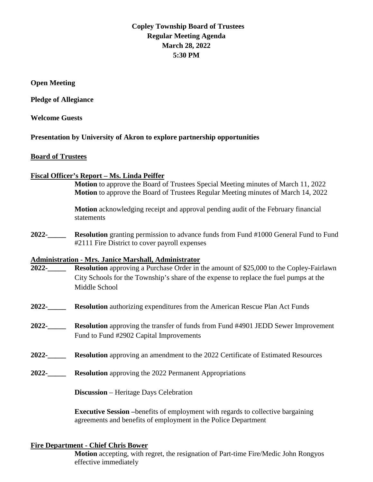## **Copley Township Board of Trustees Regular Meeting Agenda March 28, 2022 5:30 PM**

**Open Meeting**

**Pledge of Allegiance** 

**Welcome Guests**

**Presentation by University of Akron to explore partnership opportunities**

#### **Board of Trustees**

#### **Fiscal Officer's Report – Ms. Linda Peiffer**

**Motion** to approve the Board of Trustees Special Meeting minutes of March 11, 2022 **Motion** to approve the Board of Trustees Regular Meeting minutes of March 14, 2022

**Motion** acknowledging receipt and approval pending audit of the February financial statements

**2022-\_\_\_\_\_ Resolution** granting permission to advance funds from Fund #1000 General Fund to Fund #2111 Fire District to cover payroll expenses

# **Administration - Mrs. Janice Marshall, Administrator**

- **Resolution** approving a Purchase Order in the amount of \$25,000 to the Copley-Fairlawn City Schools for the Township's share of the expense to replace the fuel pumps at the Middle School
- **2022-\_\_\_\_\_ Resolution** authorizing expenditures from the American Rescue Plan Act Funds
- **2022-\_\_\_\_\_ Resolution** approving the transfer of funds from Fund #4901 JEDD Sewer Improvement Fund to Fund #2902 Capital Improvements
- **2022-\_\_\_\_\_ Resolution** approving an amendment to the 2022 Certificate of Estimated Resources
- **2022-\_\_\_\_\_ Resolution** approving the 2022 Permanent Appropriations

**Discussion** – Heritage Days Celebration

**Executive Session –**benefits of employment with regards to collective bargaining agreements and benefits of employment in the Police Department

#### **Fire Department - Chief Chris Bower**

**Motion** accepting, with regret, the resignation of Part-time Fire/Medic John Rongyos effective immediately